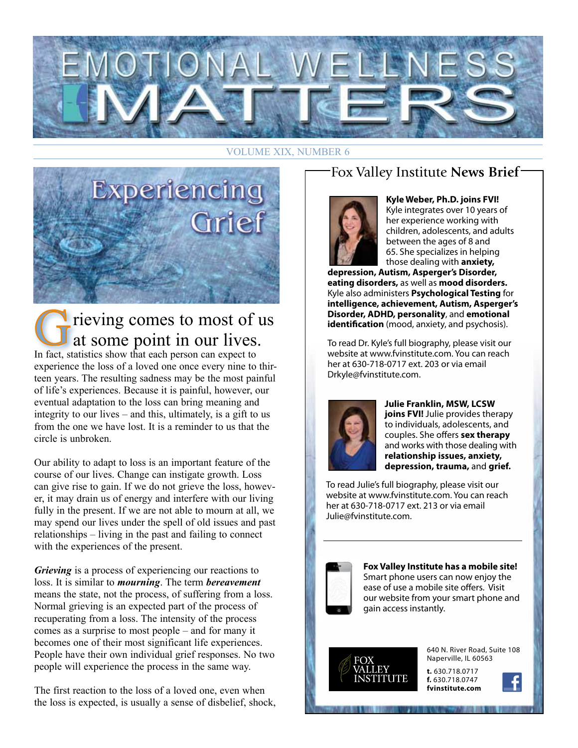

#### VOLUME XIX, NUMBER 6



## rieving comes to most of us at some point in our lives.

In fact, statistics show that each person can expect to experience the loss of a loved one once every nine to thirteen years. The resulting sadness may be the most painful of life's experiences. Because it is painful, however, our eventual adaptation to the loss can bring meaning and integrity to our lives – and this, ultimately, is a gift to us from the one we have lost. It is a reminder to us that the circle is unbroken.

Our ability to adapt to loss is an important feature of the course of our lives. Change can instigate growth. Loss can give rise to gain. If we do not grieve the loss, however, it may drain us of energy and interfere with our living fully in the present. If we are not able to mourn at all, we may spend our lives under the spell of old issues and past relationships – living in the past and failing to connect with the experiences of the present.

*Grieving* is a process of experiencing our reactions to loss. It is similar to *mourning*. The term *bereavement* means the state, not the process, of suffering from a loss. Normal grieving is an expected part of the process of recuperating from a loss. The intensity of the process comes as a surprise to most people – and for many it becomes one of their most significant life experiences. People have their own individual grief responses. No two people will experience the process in the same way.

The first reaction to the loss of a loved one, even when the loss is expected, is usually a sense of disbelief, shock,

### Fox Valley Institute **News Brief**



**Kyle Weber, Ph.D. joins FVI!** Kyle integrates over 10 years of her experience working with children, adolescents, and adults between the ages of 8 and 65. She specializes in helping those dealing with **anxiety,** 

**depression, Autism, Asperger's Disorder, eating disorders,** as well as **mood disorders.** Kyle also administers **Psychological Testing** for **intelligence, achievement, Autism, Asperger's Disorder, ADHD, personality**, and **emotional identification** (mood, anxiety, and psychosis).

To read Dr. Kyle's full biography, please visit our website at www.fvinstitute.com. You can reach her at 630-718-0717 ext. 203 or via email Drkyle@fvinstitute.com.



**Julie Franklin, MSW, LCSW joins FVI!** Julie provides therapy to individuals, adolescents, and couples. She offers **sex therapy** and works with those dealing with **relationship issues, anxiety, depression, trauma,** and **grief.**

To read Julie's full biography, please visit our website at www.fvinstitute.com. You can reach her at 630-718-0717 ext. 213 or via email Julie@fvinstitute.com.



**Fox Valley Institute has a mobile site!** Smart phone users can now enjoy the ease of use a mobile site offers. Visit our website from your smart phone and gain access instantly.



640 N. River Road, Suite 108 Naperville, IL 60563

**t.** 630.718.0717 **f.** 630.718.0747 **fvinstitute.com**

1. 汉字汉加伯戈尔山文学文化的信息信息与信息

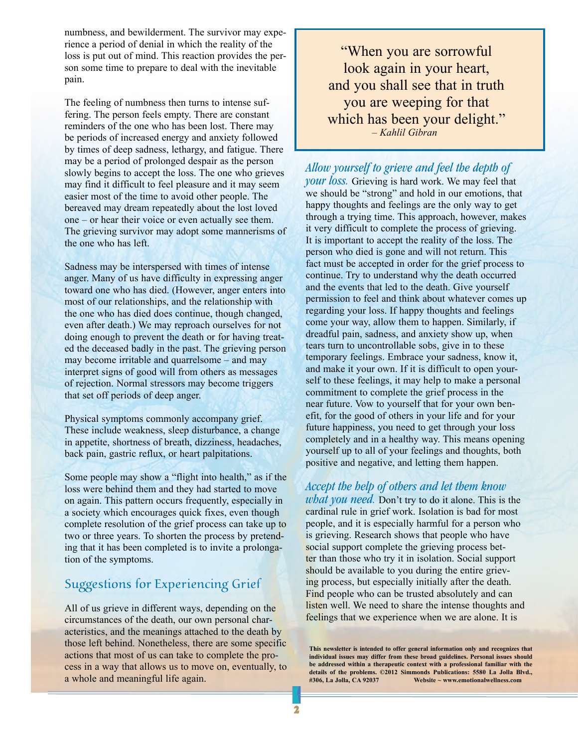numbness, and bewilderment. The survivor may experience a period of denial in which the reality of the loss is put out of mind. This reaction provides the person some time to prepare to deal with the inevitable pain.

The feeling of numbness then turns to intense suffering. The person feels empty. There are constant reminders of the one who has been lost. There may be periods of increased energy and anxiety followed by times of deep sadness, lethargy, and fatigue. There may be a period of prolonged despair as the person slowly begins to accept the loss. The one who grieves may find it difficult to feel pleasure and it may seem easier most of the time to avoid other people. The bereaved may dream repeatedly about the lost loved one – or hear their voice or even actually see them. The grieving survivor may adopt some mannerisms of the one who has left.

Sadness may be interspersed with times of intense anger. Many of us have difficulty in expressing anger toward one who has died. (However, anger enters into most of our relationships, and the relationship with the one who has died does continue, though changed, even after death.) We may reproach ourselves for not doing enough to prevent the death or for having treated the deceased badly in the past. The grieving person may become irritable and quarrelsome – and may interpret signs of good will from others as messages of rejection. Normal stressors may become triggers that set off periods of deep anger.

Physical symptoms commonly accompany grief. These include weakness, sleep disturbance, a change in appetite, shortness of breath, dizziness, headaches, back pain, gastric reflux, or heart palpitations.

Some people may show a "flight into health," as if the loss were behind them and they had started to move on again. This pattern occurs frequently, especially in a society which encourages quick fixes, even though complete resolution of the grief process can take up to two or three years. To shorten the process by pretending that it has been completed is to invite a prolongation of the symptoms.

#### Suggestions for Experiencing Grief

All of us grieve in different ways, depending on the circumstances of the death, our own personal characteristics, and the meanings attached to the death by those left behind. Nonetheless, there are some specific actions that most of us can take to complete the process in a way that allows us to move on, eventually, to a whole and meaningful life again.

"When you are sorrowful look again in your heart, and you shall see that in truth you are weeping for that which has been your delight." *– Kahlil Gibran*

*Allow yourself to grieve and feel the depth of* 

*your loss.* Grieving is hard work. We may feel that we should be "strong" and hold in our emotions, that happy thoughts and feelings are the only way to get through a trying time. This approach, however, makes it very difficult to complete the process of grieving. It is important to accept the reality of the loss. The person who died is gone and will not return. This fact must be accepted in order for the grief process to continue. Try to understand why the death occurred and the events that led to the death. Give yourself permission to feel and think about whatever comes up regarding your loss. If happy thoughts and feelings come your way, allow them to happen. Similarly, if dreadful pain, sadness, and anxiety show up, when tears turn to uncontrollable sobs, give in to these temporary feelings. Embrace your sadness, know it, and make it your own. If it is difficult to open yourself to these feelings, it may help to make a personal commitment to complete the grief process in the near future. Vow to yourself that for your own benefit, for the good of others in your life and for your future happiness, you need to get through your loss completely and in a healthy way. This means opening yourself up to all of your feelings and thoughts, both positive and negative, and letting them happen.

*Accept the help of others and let them know what you need.* Don't try to do it alone. This is the cardinal rule in grief work. Isolation is bad for most people, and it is especially harmful for a person who is grieving. Research shows that people who have social support complete the grieving process better than those who try it in isolation. Social support should be available to you during the entire grieving process, but especially initially after the death. Find people who can be trusted absolutely and can listen well. We need to share the intense thoughts and feelings that we experience when we are alone. It is

**This newsletter is intended to offer general information only and recognizes that individual issues may differ from these broad guidelines. Personal issues should be addressed within a therapeutic context with a professional familiar with the**  details of the problems. ©2012 Simmonds Publications: 5580 La Jolla Blvd., #306, La Jolla, CA 92037 Website ~ www.emotionalwellness.com Website ~ www.emotionalwellness.com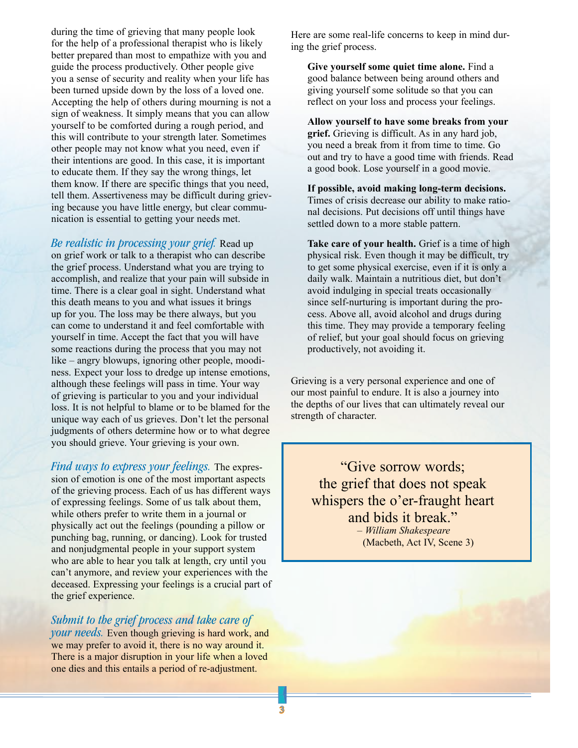during the time of grieving that many people look for the help of a professional therapist who is likely better prepared than most to empathize with you and guide the process productively. Other people give you a sense of security and reality when your life has been turned upside down by the loss of a loved one. Accepting the help of others during mourning is not a sign of weakness. It simply means that you can allow yourself to be comforted during a rough period, and this will contribute to your strength later. Sometimes other people may not know what you need, even if their intentions are good. In this case, it is important to educate them. If they say the wrong things, let them know. If there are specific things that you need, tell them. Assertiveness may be difficult during grieving because you have little energy, but clear communication is essential to getting your needs met.

*Be realistic in processing your grief.* Read up on grief work or talk to a therapist who can describe the grief process. Understand what you are trying to accomplish, and realize that your pain will subside in time. There is a clear goal in sight. Understand what this death means to you and what issues it brings up for you. The loss may be there always, but you can come to understand it and feel comfortable with yourself in time. Accept the fact that you will have some reactions during the process that you may not like – angry blowups, ignoring other people, moodiness. Expect your loss to dredge up intense emotions, although these feelings will pass in time. Your way of grieving is particular to you and your individual loss. It is not helpful to blame or to be blamed for the unique way each of us grieves. Don't let the personal judgments of others determine how or to what degree you should grieve. Your grieving is your own.

*Find ways to express your feelings.* The expression of emotion is one of the most important aspects of the grieving process. Each of us has different ways of expressing feelings. Some of us talk about them, while others prefer to write them in a journal or physically act out the feelings (pounding a pillow or punching bag, running, or dancing). Look for trusted and nonjudgmental people in your support system who are able to hear you talk at length, cry until you can't anymore, and review your experiences with the deceased. Expressing your feelings is a crucial part of the grief experience.

*Submit to the grief process and take care of* 

*your needs.* Even though grieving is hard work, and we may prefer to avoid it, there is no way around it. There is a major disruption in your life when a loved one dies and this entails a period of re-adjustment.

Here are some real-life concerns to keep in mind during the grief process.

**Give yourself some quiet time alone.** Find a good balance between being around others and giving yourself some solitude so that you can reflect on your loss and process your feelings.

**Allow yourself to have some breaks from your grief.** Grieving is difficult. As in any hard job, you need a break from it from time to time. Go out and try to have a good time with friends. Read a good book. Lose yourself in a good movie.

**If possible, avoid making long-term decisions.**  Times of crisis decrease our ability to make rational decisions. Put decisions off until things have settled down to a more stable pattern.

**Take care of your health.** Grief is a time of high physical risk. Even though it may be difficult, try to get some physical exercise, even if it is only a daily walk. Maintain a nutritious diet, but don't avoid indulging in special treats occasionally since self-nurturing is important during the process. Above all, avoid alcohol and drugs during this time. They may provide a temporary feeling of relief, but your goal should focus on grieving productively, not avoiding it.

Grieving is a very personal experience and one of our most painful to endure. It is also a journey into the depths of our lives that can ultimately reveal our strength of character.

"Give sorrow words; the grief that does not speak whispers the o'er-fraught heart and bids it break." *– William Shakespeare* (Macbeth, Act IV, Scene 3)